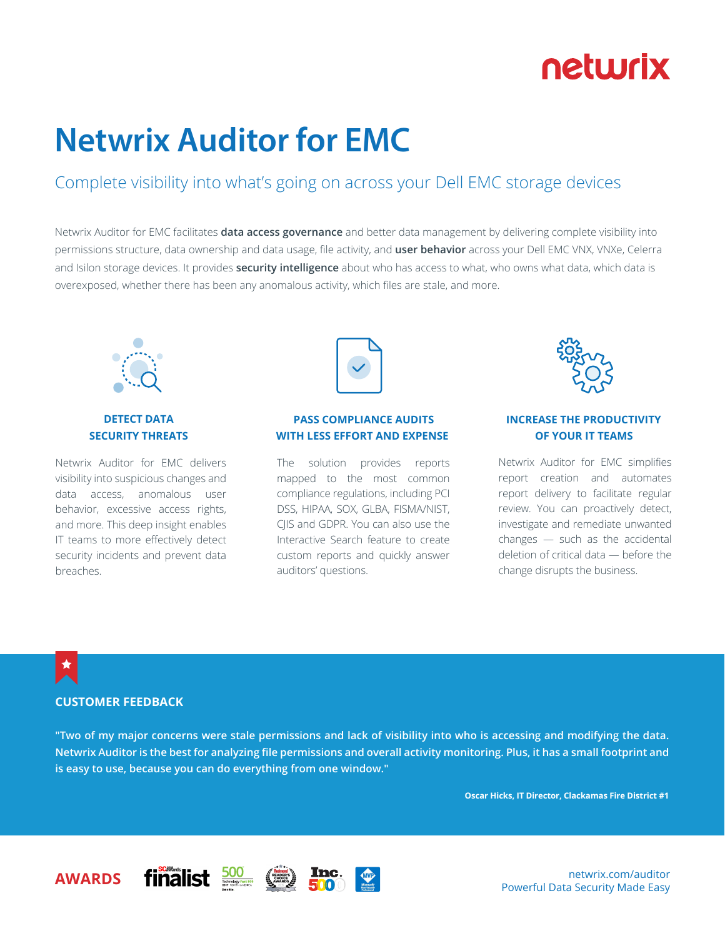# netwrix

# **Netwrix Auditor for EMC**

### Complete visibility into what's going on across your Dell EMC storage devices

Netwrix Auditor for EMC facilitates **data access governance** and better data management by delivering complete visibility into permissions structure, data ownership and data usage, file activity, and **user behavior** across your Dell EMC VNX, VNXe, Celerra and Isilon storage devices. It provides **security intelligence** about who has access to what, who owns what data, which data is overexposed, whether there has been any anomalous activity, which files are stale, and more.



### **DETECT DATA SECURITY THREATS**

Netwrix Auditor for EMC delivers visibility into suspicious changes and data access, anomalous user behavior, excessive access rights, and more. This deep insight enables IT teams to more effectively detect security incidents and prevent data breaches.



### **PASS COMPLIANCE AUDITS WITH LESS EFFORT AND EXPENSE**

The solution provides reports mapped to the most common compliance regulations, including PCI DSS, HIPAA, SOX, GLBA, FISMA/NIST, CJIS and GDPR. You can also use the Interactive Search feature to create custom reports and quickly answer auditors' questions.



### **INCREASE THE PRODUCTIVITY OF YOUR IT TEAMS**

Netwrix Auditor for EMC simplifies report creation and automates report delivery to facilitate regular review. You can proactively detect, investigate and remediate unwanted changes — such as the accidental deletion of critical data — before the change disrupts the business.

### ★

### **CUSTOMER FEEDBACK**

**"Two of my major concerns were stale permissions and lack of visibility into who is accessing and modifying the data. Netwrix Auditor is the best for analyzing file permissions and overall activity monitoring. Plus, it has a small footprint and is easy to use, because you can do everything from one window."**

**Oscar Hicks, IT Director, Clackamas Fire District #1**